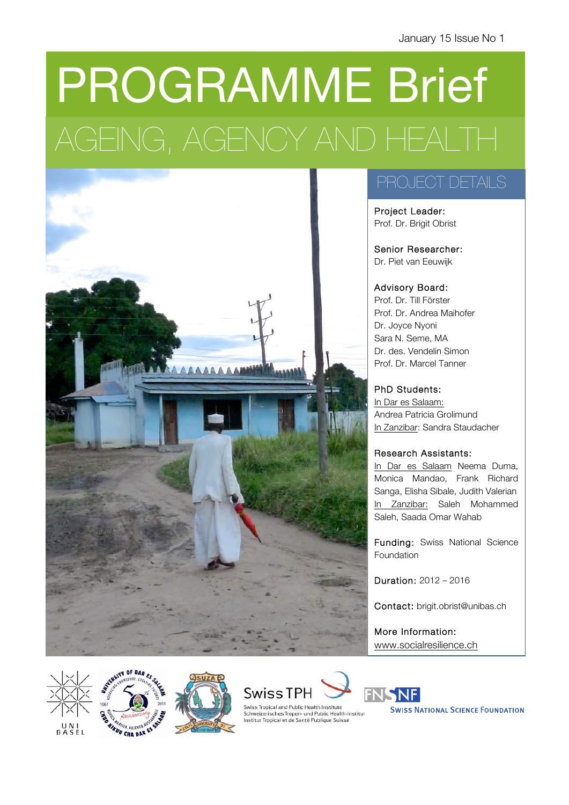# PROGRAMME Brief AGEING, AGENCY AND HEALTH



### PROJECT DETAILS

Project Leader: Prof. Dr. Brigit Obrist

Senior Researcher: Dr. Piet van Eeuwijk

### Advisory Board:

Prof. Dr. Till Förster Prof. Dr. Andrea Maihofer Dr. Joyce Nyoni Sara N. Seme, MA Dr. des. Vendelin Simon Prof. Dr. Marcel Tanner

### PhD Students:

In Dar es Salaam: Andrea Patricia Grolimund In Zanzibar: Sandra Staudacher

### Research Assistants:

In Dar es Salaam Neema Duma, Monica Mandao, Frank Richard Sanga, Elisha Sibale, Judith Valerian In Zanzibar: Saleh Mohammed Saleh, Saada Omar Wahab

Funding: Swiss National Science Foundation

Duration: 2012 – 2016

Contact: brigit.obrist@unibas.ch

More Information: www.socialresilience.ch









Swiss Tropical and Public Health Institute Schweizerisches Tropen- und Public Health-Institut<br>Institut Tropical et de Santé Publique Suisse



**SWISS NATIONAL SCIENCE FOUNDATION**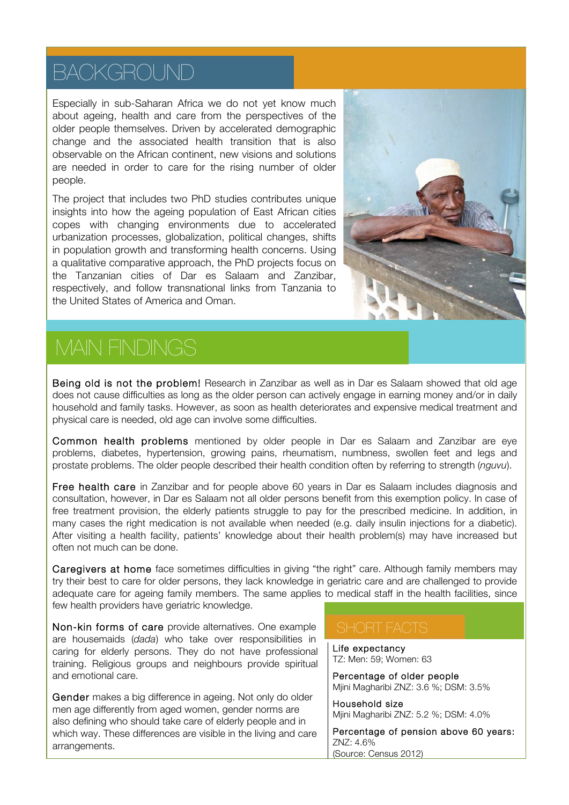### BACKGROUND

Especially in sub-Saharan Africa we do not yet know much about ageing, health and care from the perspectives of the older people themselves. Driven by accelerated demographic change and the associated health transition that is also observable on the African continent, new visions and solutions are needed in order to care for the rising number of older people.

The project that includes two PhD studies contributes unique insights into how the ageing population of East African cities copes with changing environments due to accelerated urbanization processes, globalization, political changes, shifts in population growth and transforming health concerns. Using a qualitative comparative approach, the PhD projects focus on the Tanzanian cities of Dar es Salaam and Zanzibar, respectively, and follow transnational links from Tanzania to the United States of America and Oman.



# MAIN FINDINGS

Being old is not the problem! Research in Zanzibar as well as in Dar es Salaam showed that old age does not cause difficulties as long as the older person can actively engage in earning money and/or in daily household and family tasks. However, as soon as health deteriorates and expensive medical treatment and physical care is needed, old age can involve some difficulties.

Common health problems mentioned by older people in Dar es Salaam and Zanzibar are eye problems, diabetes, hypertension, growing pains, rheumatism, numbness, swollen feet and legs and prostate problems. The older people described their health condition often by referring to strength (*nguvu*).

Free health care in Zanzibar and for people above 60 years in Dar es Salaam includes diagnosis and consultation, however, in Dar es Salaam not all older persons benefit from this exemption policy. In case of free treatment provision, the elderly patients struggle to pay for the prescribed medicine. In addition, in many cases the right medication is not available when needed (e.g. daily insulin injections for a diabetic). After visiting a health facility, patients' knowledge about their health problem(s) may have increased but often not much can be done.

Caregivers at home face sometimes difficulties in giving "the right" care. Although family members may try their best to care for older persons, they lack knowledge in geriatric care and are challenged to provide adequate care for ageing family members. The same applies to medical staff in the health facilities, since few health providers have geriatric knowledge.

Non-kin forms of care provide alternatives. One example are housemaids (*dada*) who take over responsibilities in caring for elderly persons. They do not have professional training. Religious groups and neighbours provide spiritual and emotional care.

Gender makes a big difference in ageing. Not only do older men age differently from aged women, gender norms are also defining who should take care of elderly people and in which way. These differences are visible in the living and care arrangements.

Life expectancy TZ: Men: 59; Women: 63

Percentage of older people Mjini Magharibi ZNZ: 3.6 %; DSM: 3.5%

Household size Mjini Magharibi ZNZ: 5.2 %; DSM: 4.0%

Percentage of pension above 60 years: ZNZ: 4.6% (Source: Census 2012)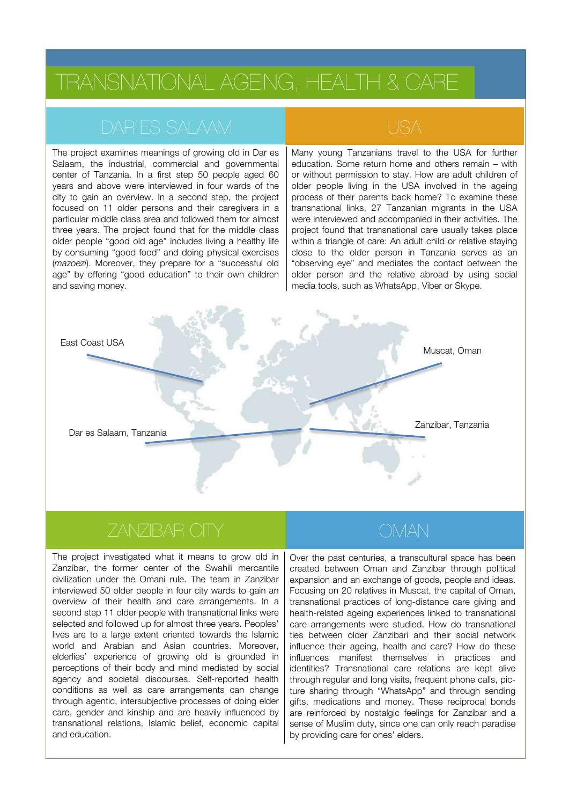The project examines meanings of growing old in Dar es Salaam, the industrial, commercial and governmental center of Tanzania. In a first step 50 people aged 60 years and above were interviewed in four wards of the city to gain an overview. In a second step, the project focused on 11 older persons and their caregivers in a particular middle class area and followed them for almost three years. The project found that for the middle class older people "good old age" includes living a healthy life by consuming "good food" and doing physical exercises (*mazoezi*). Moreover, they prepare for a "successful old age" by offering "good education" to their own children and saving money.

Many young Tanzanians travel to the USA for further education. Some return home and others remain – with or without permission to stay. How are adult children of older people living in the USA involved in the ageing process of their parents back home? To examine these transnational links, 27 Tanzanian migrants in the USA were interviewed and accompanied in their activities. The project found that transnational care usually takes place within a triangle of care: An adult child or relative staying close to the older person in Tanzania serves as an "observing eye" and mediates the contact between the older person and the relative abroad by using social media tools, such as WhatsApp, Viber or Skype.



### ZANZIBAR CITY GO GO OMAN

The project investigated what it means to grow old in Zanzibar, the former center of the Swahili mercantile civilization under the Omani rule. The team in Zanzibar interviewed 50 older people in four city wards to gain an overview of their health and care arrangements. In a second step 11 older people with transnational links were selected and followed up for almost three years. Peoples' lives are to a large extent oriented towards the Islamic world and Arabian and Asian countries. Moreover, elderlies' experience of growing old is grounded in perceptions of their body and mind mediated by social agency and societal discourses. Self-reported health conditions as well as care arrangements can change through agentic, intersubjective processes of doing elder care, gender and kinship and are heavily influenced by transnational relations, Islamic belief, economic capital and education.

Over the past centuries, a transcultural space has been created between Oman and Zanzibar through political expansion and an exchange of goods, people and ideas. Focusing on 20 relatives in Muscat, the capital of Oman, transnational practices of long-distance care giving and health-related ageing experiences linked to transnational care arrangements were studied. How do transnational ties between older Zanzibari and their social network influence their ageing, health and care? How do these influences manifest themselves in practices and identities? Transnational care relations are kept alive through regular and long visits, frequent phone calls, picture sharing through "WhatsApp" and through sending gifts, medications and money. These reciprocal bonds are reinforced by nostalgic feelings for Zanzibar and a sense of Muslim duty, since one can only reach paradise by providing care for ones' elders.